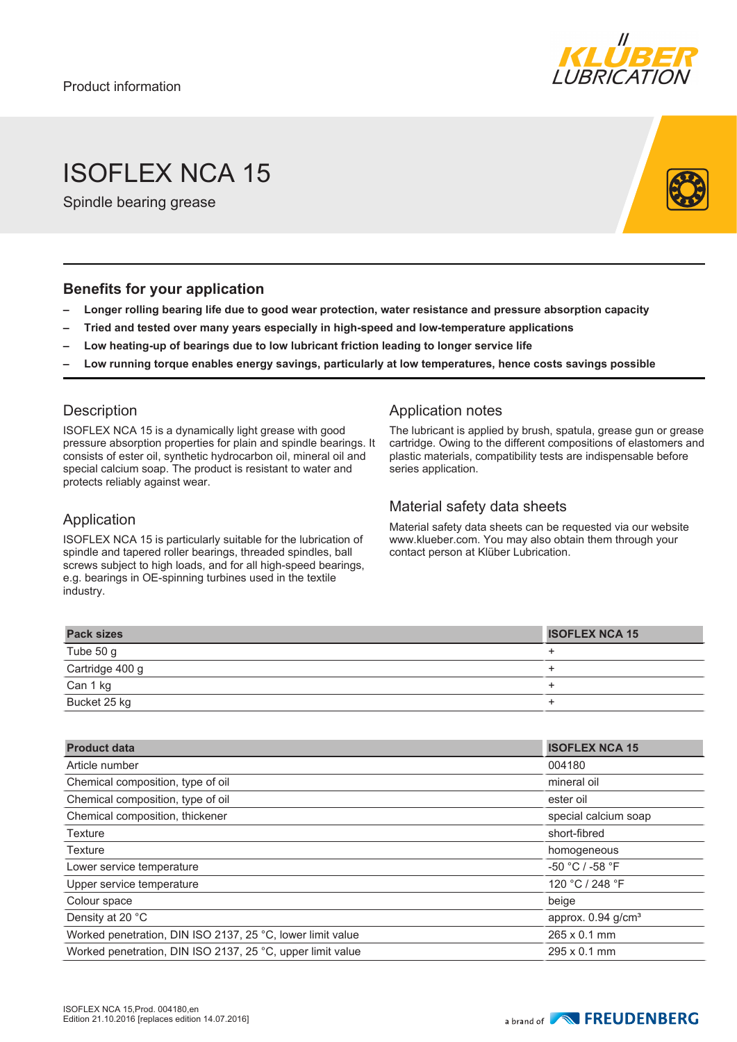

# ISOFLEX NCA 15

Spindle bearing grease

#### **Benefits for your application**

- **– Longer rolling bearing life due to good wear protection, water resistance and pressure absorption capacity**
- **– Tried and tested over many years especially in high-speed and low-temperature applications**
- **– Low heating-up of bearings due to low lubricant friction leading to longer service life**
- **– Low running torque enables energy savings, particularly at low temperatures, hence costs savings possible**

## **Description**

ISOFLEX NCA 15 is a dynamically light grease with good pressure absorption properties for plain and spindle bearings. It consists of ester oil, synthetic hydrocarbon oil, mineral oil and special calcium soap. The product is resistant to water and protects reliably against wear.

#### Application

ISOFLEX NCA 15 is particularly suitable for the lubrication of spindle and tapered roller bearings, threaded spindles, ball screws subject to high loads, and for all high-speed bearings, e.g. bearings in OE-spinning turbines used in the textile industry.

## Application notes

The lubricant is applied by brush, spatula, grease gun or grease cartridge. Owing to the different compositions of elastomers and plastic materials, compatibility tests are indispensable before series application.

## Material safety data sheets

Material safety data sheets can be requested via our website www.klueber.com. You may also obtain them through your contact person at Klüber Lubrication.

| <b>Pack sizes</b> | <b>ISOFLEX NCA 15</b> |
|-------------------|-----------------------|
| Tube 50 g         |                       |
| Cartridge 400 g   |                       |
| Can 1 kg          |                       |
| Bucket 25 kg      |                       |

| <b>Product data</b>                                        | <b>ISOFLEX NCA 15</b>            |
|------------------------------------------------------------|----------------------------------|
| Article number                                             | 004180                           |
| Chemical composition, type of oil                          | mineral oil                      |
| Chemical composition, type of oil                          | ester oil                        |
| Chemical composition, thickener                            | special calcium soap             |
| <b>Texture</b>                                             | short-fibred                     |
| Texture                                                    | homogeneous                      |
| Lower service temperature                                  | $-50 °C / -58 °F$                |
| Upper service temperature                                  | 120 °C / 248 °F                  |
| Colour space                                               | beige                            |
| Density at 20 °C                                           | approx. $0.94$ g/cm <sup>3</sup> |
| Worked penetration, DIN ISO 2137, 25 °C, lower limit value | $265 \times 0.1$ mm              |
| Worked penetration, DIN ISO 2137, 25 °C, upper limit value | $295 \times 0.1$ mm              |